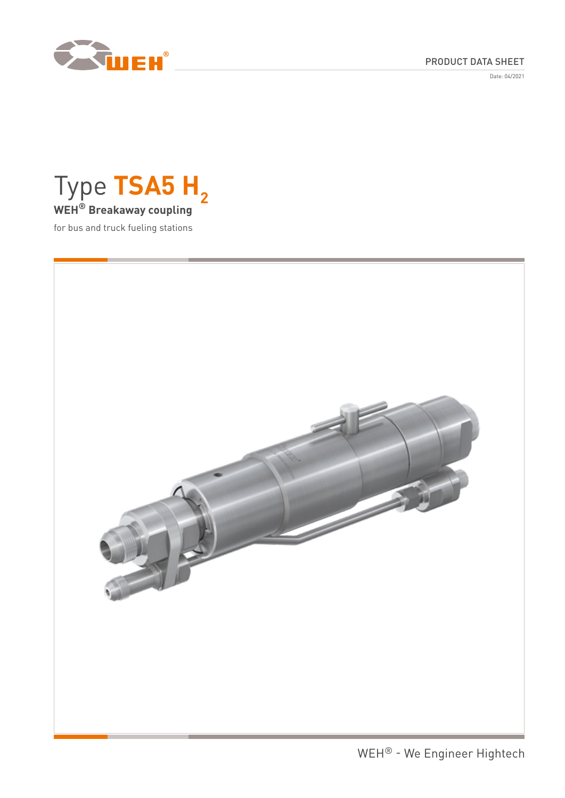

# PRODUCT DATA SHEET

Date: 04/2021



for bus and truck fueling stations

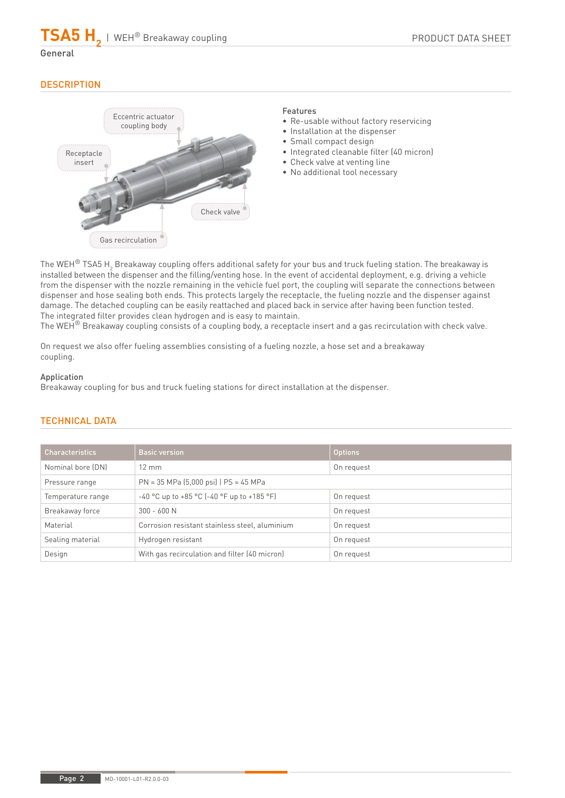$\mathsf{TSA5}\ \mathsf{H}_{\mathsf{2}}$  | WEH® Breakaway coupling

# **DESCRIPTION**

General



### Features

- Re-usable without factory reservicing
- Installation at the dispenser
- Small compact design
- Integrated cleanable filter (40 micron)
- Check valve at venting line
- No additional tool necessary

The WEH $^\circ$  TSA5 H $_2$  Breakaway coupling offers additional safety for your bus and truck fueling station. The breakaway is installed between the dispenser and the filling/venting hose. In the event of accidental deployment, e.g. driving a vehicle from the dispenser with the nozzle remaining in the vehicle fuel port, the coupling will separate the connections between dispenser and hose sealing both ends. This protects largely the receptacle, the fueling nozzle and the dispenser against damage. The detached coupling can be easily reattached and placed back in service after having been function tested. The integrated filter provides clean hydrogen and is easy to maintain.

The WEH<sup>®</sup> Breakaway coupling consists of a coupling body, a receptacle insert and a gas recirculation with check valve.

On request we also offer fueling assemblies consisting of a fueling nozzle, a hose set and a breakaway coupling.

### Application

Breakaway coupling for bus and truck fueling stations for direct installation at the dispenser.

| <b>Characteristics</b> | <b>Basic version</b>                                | <b>Options</b> |
|------------------------|-----------------------------------------------------|----------------|
| Nominal bore (DN)      | $12 \text{ mm}$                                     | On request     |
| Pressure range         | $PN = 35 MPa (5,000 psi)$   $PS = 45 MPa$           |                |
| Temperature range      | $-40$ °C up to $+85$ °C ( $-40$ °F up to $+185$ °F) | On request     |
| Breakaway force        | $300 - 600 N$                                       | On request     |
| Material               | Corrosion resistant stainless steel, aluminium      | On request     |
| Sealing material       | Hydrogen resistant                                  | On request     |
| Design                 | With gas recirculation and filter (40 micron)       | On request     |

# TECHNICAL DATA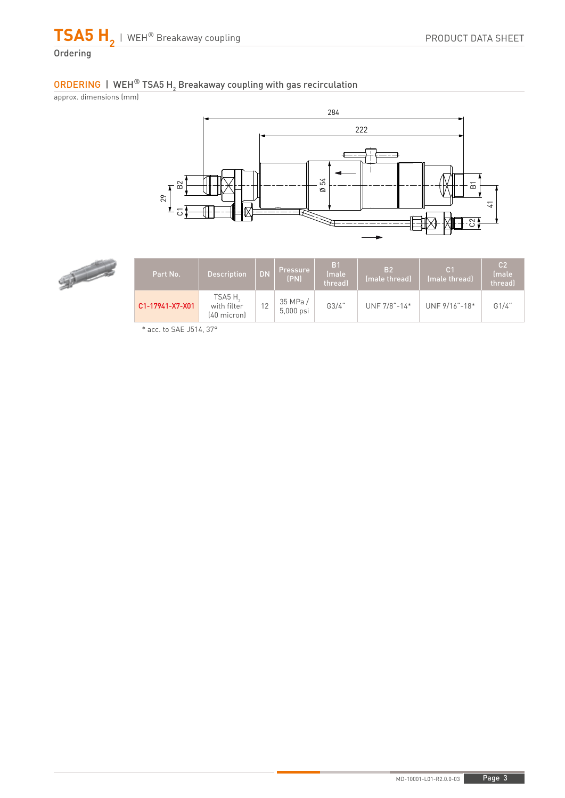

# ORDERING | WEH $^\circledR$  TSA5 H $_2$  Breakaway coupling with gas recirculation

approx. dimensions (mm)





| Part No.        | <b>Description</b>                               | <b>DN</b> | Pressure<br>(PN)     | B <sub>1</sub><br>(male<br>threadl | B <sub>2</sub><br>(male thread) | C <sub>1</sub><br>(male thread) | C <sub>2</sub><br><i><u><b>Imale</b></u></i><br>threadl |
|-----------------|--------------------------------------------------|-----------|----------------------|------------------------------------|---------------------------------|---------------------------------|---------------------------------------------------------|
| C1-17941-X7-X01 | TSA5H <sub>2</sub><br>with filter<br>(40 micron) | 12        | 35 MPa/<br>5,000 psi | G3/4"                              | UNF 7/8"-14*                    | UNF 9/16"-18*                   | G1/4"                                                   |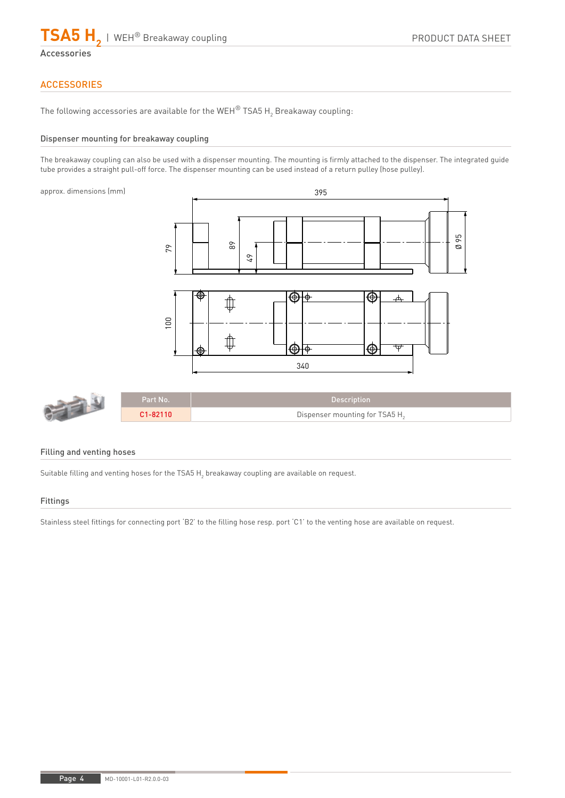

Accessories

# **ACCESSORIES**

The following accessories are available for the WEH $^\circ$  TSA5 H $_2$  Breakaway coupling:

### Dispenser mounting for breakaway coupling

The breakaway coupling can also be used with a dispenser mounting. The mounting is firmly attached to the dispenser. The integrated guide tube provides a straight pull-off force. The dispenser mounting can be used instead of a return pulley (hose pulley).

approx. dimensions (mm)





### Filling and venting hoses

Suitable filling and venting hoses for the TSA5  $\mathsf{H}_2^{}$  breakaway coupling are available on request.

#### Fittings

Stainless steel fittings for connecting port 'B2' to the filling hose resp. port 'C1' to the venting hose are available on request.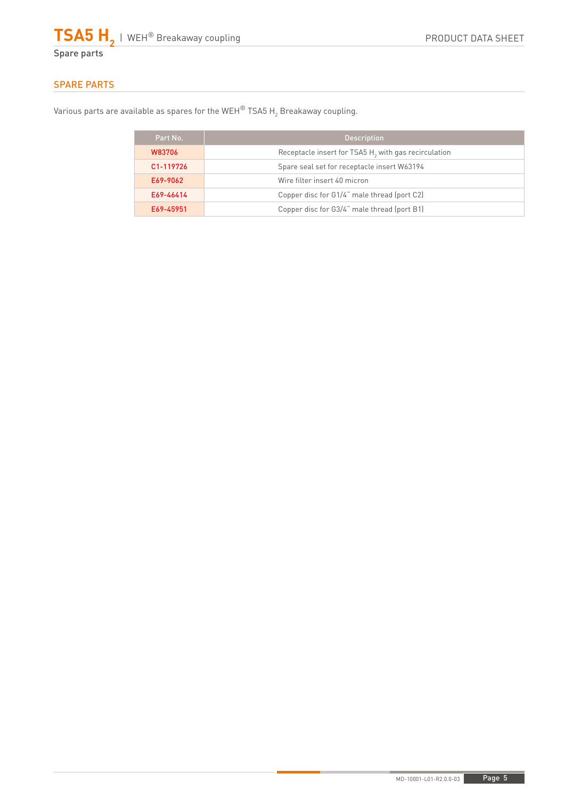

# SPARE PARTS

Various parts are available as spares for the WEH $^\circ$  TSA5 H $_2$  Breakaway coupling.

| Part No.  | <b>Description</b>                                               |  |
|-----------|------------------------------------------------------------------|--|
| W83706    | Receptacle insert for TSA5 H <sub>2</sub> with gas recirculation |  |
| C1-119726 | Spare seal set for receptacle insert W63194                      |  |
| E69-9062  | Wire filter insert 40 micron                                     |  |
| E69-46414 | Copper disc for G1/4" male thread (port C2)                      |  |
| E69-45951 | Copper disc for G3/4" male thread (port B1)                      |  |